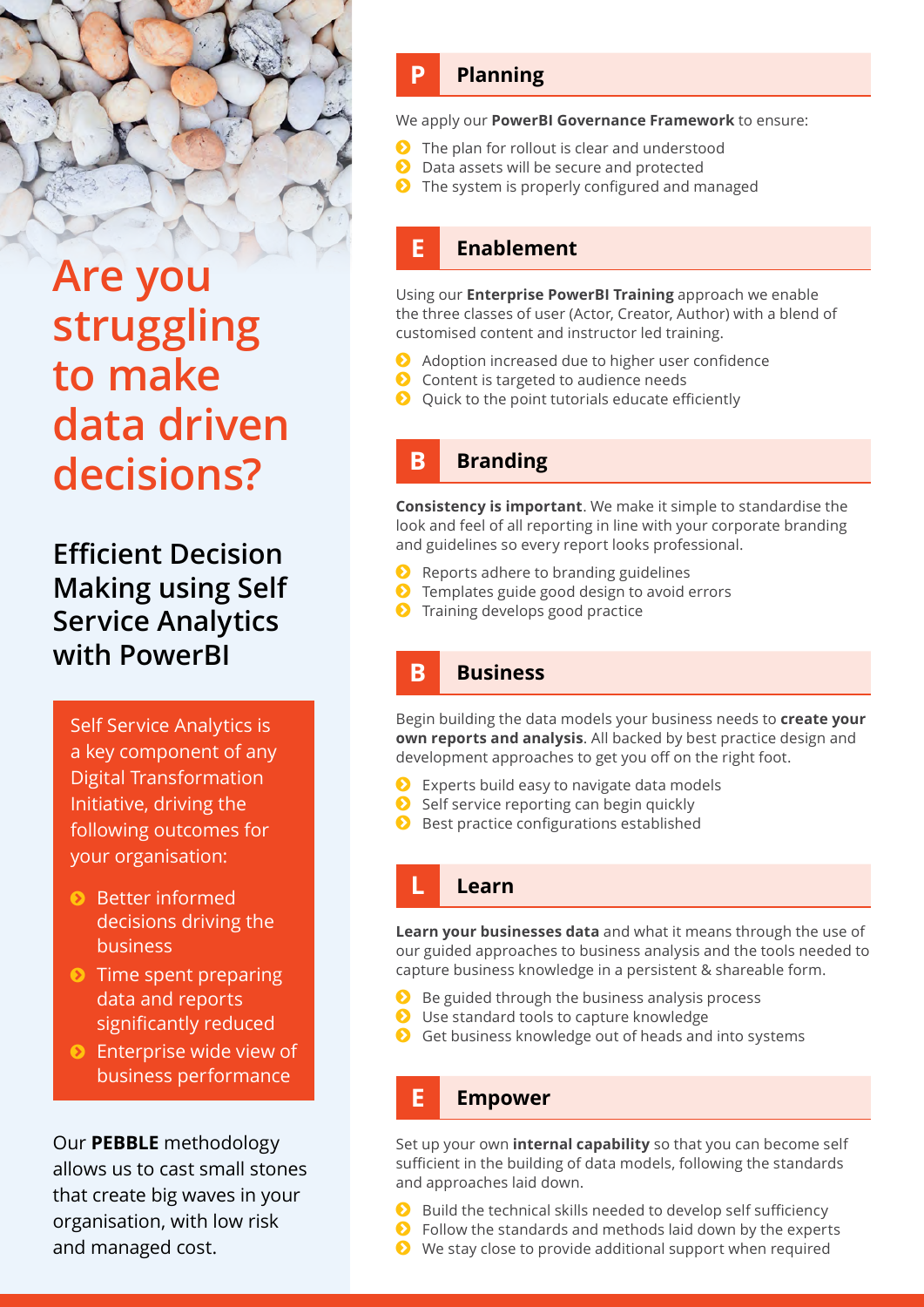# **Are you struggling to make data driven decisions?**

**Efficient Decision Making using Self Service Analytics with PowerBI**

Self Service Analytics is a key component of any Digital Transformation Initiative, driving the following outcomes for your organisation:

- **•** Better informed decisions driving the business
- $\bullet$  Time spent preparing data and reports significantly reduced
- **•** Enterprise wide view of business performance

Our **PEBBLE** methodology allows us to cast small stones that create big waves in your organisation, with low risk and managed cost.

# **P Planning**

We apply our **PowerBI Governance Framework** to ensure:

- $\bullet$  The plan for rollout is clear and understood
	- Data assets will be secure and protected
- $\bullet$  The system is properly configured and managed

# **E Enablement**

Using our **Enterprise PowerBI Training** approach we enable the three classes of user (Actor, Creator, Author) with a blend of customised content and instructor led training.

- **a** Adoption increased due to higher user confidence
- $\bullet$  Content is targeted to audience needs
- $\bullet$  Quick to the point tutorials educate efficiently

## **B Branding**

**Consistency is important**. We make it simple to standardise the look and feel of all reporting in line with your corporate branding and guidelines so every report looks professional.

- $\bullet$  Reports adhere to branding guidelines
- $\bullet$  Templates guide good design to avoid errors
- *O* Training develops good practice

## **B Business**

Begin building the data models your business needs to **create your own reports and analysis**. All backed by best practice design and development approaches to get you off on the right foot.

- $\bullet$  Experts build easy to navigate data models
- $\bullet$  Self service reporting can begin quickly
- **b** Best practice configurations established

#### **L Learn**

**Learn your businesses data** and what it means through the use of our guided approaches to business analysis and the tools needed to capture business knowledge in a persistent & shareable form.

- $\bullet$  Be guided through the business analysis process
- **b** Use standard tools to capture knowledge
- $\bullet$  Get business knowledge out of heads and into systems

#### **E Empower**

Set up your own **internal capability** so that you can become self sufficient in the building of data models, following the standards and approaches laid down.

- $\bullet$  Build the technical skills needed to develop self sufficiency
- $\bullet$  Follow the standards and methods laid down by the experts
- $\bullet$  We stay close to provide additional support when required